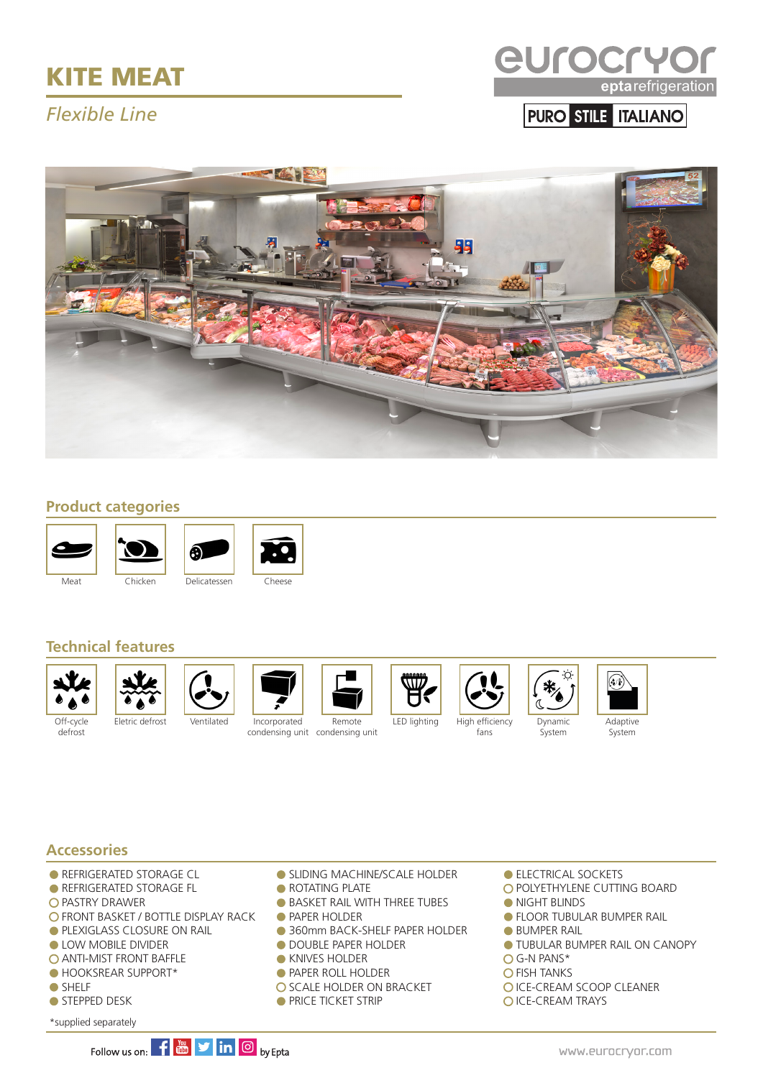# KITE MEAT

## *Flexible Line*



PURO STILE ITALIANO



#### **Product categories**









#### **Technical features**



defrost







condensing unit condensing unit





fans





Q



**Accessories**

- **REFRIGERATED STORAGE CL**
- **REFRIGERATED STORAGE FL**
- **O PASTRY DRAWER**
- O FRONT BASKET / BOTTLE DISPLAY RACK
- **PLEXIGLASS CLOSURE ON RAIL**
- **LOW MOBILE DIVIDER**
- **O ANTI-MIST FRONT BAFFLE**
- HOOKSREAR SUPPORT\*
- SHELF
- STEPPED DESK
- \*supplied separately

**SLIDING MACHINE/SCALE HOLDER • ROTATING PLATE** 

- **BASKET RAIL WITH THREE TUBES**
- **PAPER HOLDER**
- 360mm BACK-SHELF PAPER HOLDER
- **O DOUBLE PAPER HOLDER**
- **KNIVES HOLDER**
- **PAPER ROLL HOLDER**
- O SCALE HOLDER ON BRACKET
- **PRICE TICKET STRIP**
- **ELECTRICAL SOCKETS**
- O POLYETHYLENE CUTTING BOARD
- **NIGHT BLINDS**
- **FLOOR TUBULAR BUMPER RAIL**
- **BUMPER RAIL**
- **TUBULAR BUMPER RAIL ON CANOPY**
- G-N PANS\*
- **O FISH TANKS**
- **OICE-CREAM SCOOP CLEANER**
- O ICE-CREAM TRAYS

Follow us on:  $\left| \mathbf{f} \right|$   $\mathbf{w}$   $\left| \mathbf{y} \right|$  in  $\left| \mathbf{0} \right|$  by Epta